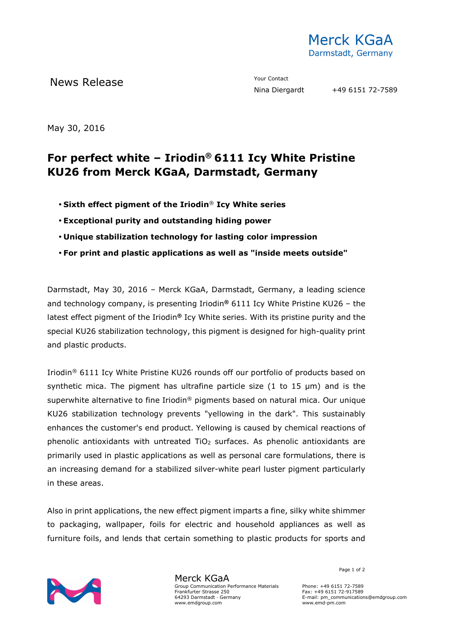

News Release The Contact Mews Release Contact Prour Contact Prour Contact Prour Contact Prour Contact Prour Contact Prour Contact Prour Contact Prour Contact Prour Contact Prour Contact Prour Contact Prour Contact Prour Co

May 30, 2016

## **For perfect white – Iriodin® 6111 Icy White Pristine KU26 from Merck KGaA, Darmstadt, Germany**

- **Sixth effect pigment of the Iriodin**® **Icy White series**
- **Exceptional purity and outstanding hiding power**
- **Unique stabilization technology for lasting color impression**
- **For print and plastic applications as well as "inside meets outside"**

Darmstadt, May 30, 2016 – Merck KGaA, Darmstadt, Germany, a leading science and technology company, is presenting Iriodin**®** 6111 Icy White Pristine KU26 – the latest effect pigment of the Iriodin**®** Icy White series. With its pristine purity and the special KU26 stabilization technology, this pigment is designed for high-quality print and plastic products.

Iriodin® 6111 Icy White Pristine KU26 rounds off our portfolio of products based on synthetic mica. The pigment has ultrafine particle size (1 to 15 µm) and is the superwhite alternative to fine Iriodin<sup>®</sup> pigments based on natural mica. Our unique KU26 stabilization technology prevents "yellowing in the dark". This sustainably enhances the customer's end product. Yellowing is caused by chemical reactions of phenolic antioxidants with untreated  $TiO<sub>2</sub>$  surfaces. As phenolic antioxidants are primarily used in plastic applications as well as personal care formulations, there is an increasing demand for a stabilized silver-white pearl luster pigment particularly in these areas.

Also in print applications, the new effect pigment imparts a fine, silky white shimmer to packaging, wallpaper, foils for electric and household appliances as well as furniture foils, and lends that certain something to plastic products for sports and



Merck KGaA Group Communication Performance Materials Frankfurter Strasse 250 64293 Darmstadt · Germany www.emdgroup.com

Page 1 of 2

Phone: +49 6151 72-7589 Fax: +49 6151 72-917589 E-mail: pm\_communications@emdgroup.com www.emd-pm.com